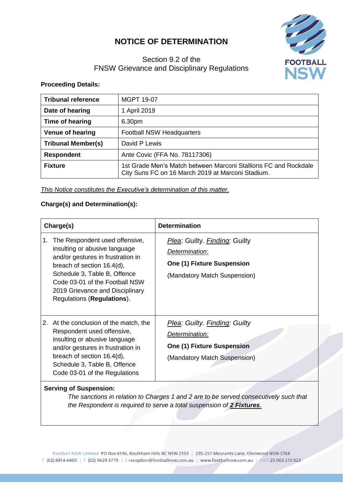## **NOTICE OF DETERMINATION**



## Section 9.2 of the FNSW Grievance and Disciplinary Regulations

**Proceeding Details:**

| <b>Tribunal reference</b>                                                                                                              | <b>MGPT 19-07</b>                |  |
|----------------------------------------------------------------------------------------------------------------------------------------|----------------------------------|--|
| Date of hearing                                                                                                                        | 1 April 2019                     |  |
| Time of hearing                                                                                                                        | 6.30pm                           |  |
| <b>Venue of hearing</b>                                                                                                                | <b>Football NSW Headquarters</b> |  |
| <b>Tribunal Member(s)</b>                                                                                                              | David P Lewis                    |  |
| <b>Respondent</b>                                                                                                                      | Ante Covic (FFA No. 78117306)    |  |
| 1st Grade Men's Match between Marconi Stallions FC and Rockdale<br><b>Fixture</b><br>City Suns FC on 16 March 2019 at Marconi Stadium. |                                  |  |

*This Notice constitutes the Executive's determination of this matter.*

## **Charge(s) and Determination(s):**

| Charge(s) |                                                                                                                                                                                                                                                                       | <b>Determination</b>                                                                                                 |
|-----------|-----------------------------------------------------------------------------------------------------------------------------------------------------------------------------------------------------------------------------------------------------------------------|----------------------------------------------------------------------------------------------------------------------|
| 1.        | The Respondent used offensive,<br>insulting or abusive language<br>and/or gestures in frustration in<br>breach of section 16.4(d),<br>Schedule 3, Table B, Offence<br>Code 03-01 of the Football NSW<br>2019 Grievance and Disciplinary<br>Regulations (Regulations). | Plea: Guilty. Finding: Guilty<br>Determination:<br><b>One (1) Fixture Suspension</b><br>(Mandatory Match Suspension) |
| 2.        | At the conclusion of the match, the<br>Respondent used offensive,<br>insulting or abusive language<br>and/or gestures in frustration in<br>breach of section 16.4(d),<br>Schedule 3, Table B, Offence<br>Code 03-01 of the Regulations                                | Plea: Guilty. Finding: Guilty<br>Determination:<br><b>One (1) Fixture Suspension</b><br>(Mandatory Match Suspension) |

## **Serving of Suspension:**

*The sanctions in relation to Charges 1 and 2 are to be served consecutively such that the Respondent is required to serve a total suspension of 2 Fixtures*.